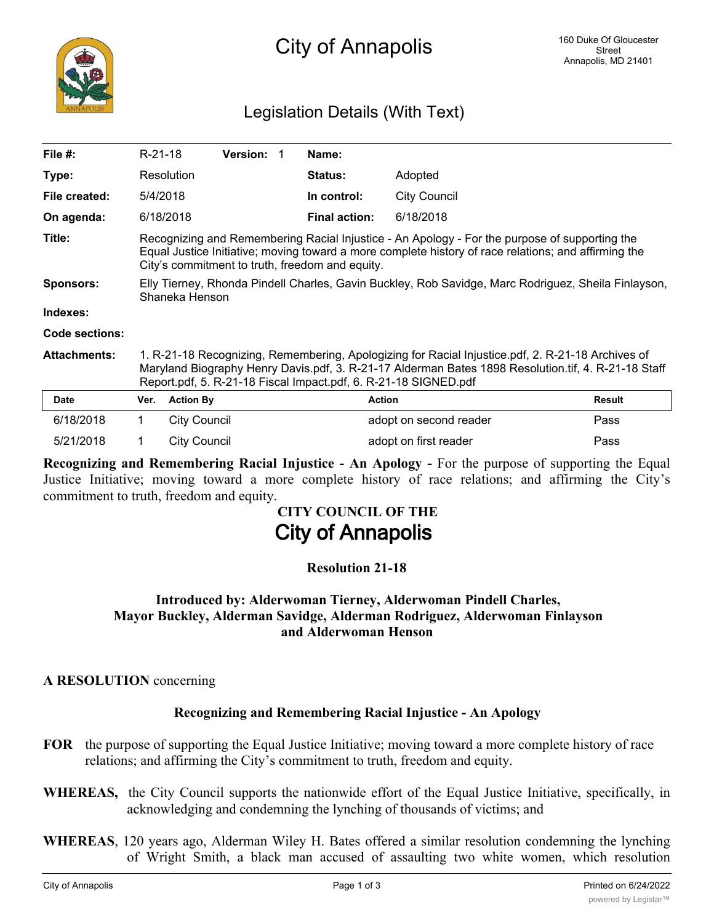

# Legislation Details (With Text)

| File $#$ :          | R-21-18                                                                                                                                                                                                                                                                     |                     | <b>Version:</b> |  | Name:                |                        |               |
|---------------------|-----------------------------------------------------------------------------------------------------------------------------------------------------------------------------------------------------------------------------------------------------------------------------|---------------------|-----------------|--|----------------------|------------------------|---------------|
| Type:               |                                                                                                                                                                                                                                                                             | Resolution          |                 |  | <b>Status:</b>       | Adopted                |               |
| File created:       | 5/4/2018                                                                                                                                                                                                                                                                    |                     |                 |  | In control:          | City Council           |               |
| On agenda:          |                                                                                                                                                                                                                                                                             | 6/18/2018           |                 |  | <b>Final action:</b> | 6/18/2018              |               |
| Title:              | Recognizing and Remembering Racial Injustice - An Apology - For the purpose of supporting the<br>Equal Justice Initiative; moving toward a more complete history of race relations; and affirming the<br>City's commitment to truth, freedom and equity.                    |                     |                 |  |                      |                        |               |
| Sponsors:           | Elly Tierney, Rhonda Pindell Charles, Gavin Buckley, Rob Savidge, Marc Rodriguez, Sheila Finlayson,<br>Shaneka Henson                                                                                                                                                       |                     |                 |  |                      |                        |               |
| Indexes:            |                                                                                                                                                                                                                                                                             |                     |                 |  |                      |                        |               |
| Code sections:      |                                                                                                                                                                                                                                                                             |                     |                 |  |                      |                        |               |
| <b>Attachments:</b> | 1. R-21-18 Recognizing, Remembering, Apologizing for Racial Injustice.pdf, 2. R-21-18 Archives of<br>Maryland Biography Henry Davis.pdf, 3. R-21-17 Alderman Bates 1898 Resolution.tif, 4. R-21-18 Staff<br>Report.pdf, 5. R-21-18 Fiscal Impact.pdf, 6. R-21-18 SIGNED.pdf |                     |                 |  |                      |                        |               |
| <b>Date</b>         | Ver.                                                                                                                                                                                                                                                                        | <b>Action By</b>    |                 |  |                      | <b>Action</b>          | <b>Result</b> |
| 6/18/2018           | $\mathbf 1$                                                                                                                                                                                                                                                                 | <b>City Council</b> |                 |  |                      | adopt on second reader | Pass          |
| 5/21/2018           | 1.                                                                                                                                                                                                                                                                          | <b>City Council</b> |                 |  |                      | adopt on first reader  | Pass          |

**Recognizing and Remembering Racial Injustice - An Apology -** For the purpose of supporting the Equal Justice Initiative; moving toward a more complete history of race relations; and affirming the City's commitment to truth, freedom and equity.

# **CITY COUNCIL OF THE City of Annapolis**

## **Resolution 21-18**

#### **Introduced by: Alderwoman Tierney, Alderwoman Pindell Charles, Mayor Buckley, Alderman Savidge, Alderman Rodriguez, Alderwoman Finlayson and Alderwoman Henson**

#### **A RESOLUTION** concerning

## **Recognizing and Remembering Racial Injustice - An Apology**

- **FOR** the purpose of supporting the Equal Justice Initiative; moving toward a more complete history of race relations; and affirming the City's commitment to truth, freedom and equity.
- **WHEREAS,** the City Council supports the nationwide effort of the Equal Justice Initiative, specifically, in acknowledging and condemning the lynching of thousands of victims; and
- **WHEREAS**, 120 years ago, Alderman Wiley H. Bates offered a similar resolution condemning the lynching of Wright Smith, a black man accused of assaulting two white women, which resolution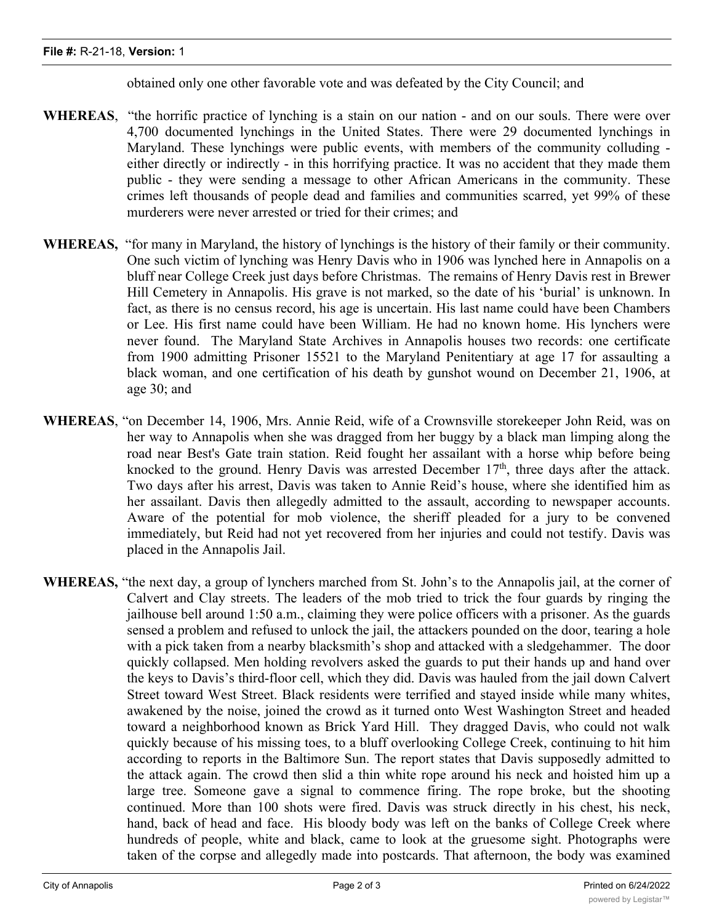obtained only one other favorable vote and was defeated by the City Council; and

- **WHEREAS**, "the horrific practice of lynching is a stain on our nation and on our souls. There were over 4,700 documented lynchings in the United States. There were 29 documented lynchings in Maryland. These lynchings were public events, with members of the community colluding either directly or indirectly - in this horrifying practice. It was no accident that they made them public - they were sending a message to other African Americans in the community. These crimes left thousands of people dead and families and communities scarred, yet 99% of these murderers were never arrested or tried for their crimes; and
- **WHEREAS,** "for many in Maryland, the history of lynchings is the history of their family or their community. One such victim of lynching was Henry Davis who in 1906 was lynched here in Annapolis on a bluff near College Creek just days before Christmas. The remains of Henry Davis rest in Brewer Hill Cemetery in Annapolis. His grave is not marked, so the date of his 'burial' is unknown. In fact, as there is no census record, his age is uncertain. His last name could have been Chambers or Lee. His first name could have been William. He had no known home. His lynchers were never found. The Maryland State Archives in Annapolis houses two records: one certificate from 1900 admitting Prisoner 15521 to the Maryland Penitentiary at age 17 for assaulting a black woman, and one certification of his death by gunshot wound on December 21, 1906, at age 30; and
- **WHEREAS**, "on December 14, 1906, Mrs. Annie Reid, wife of a Crownsville storekeeper John Reid, was on her way to Annapolis when she was dragged from her buggy by a black man limping along the road near Best's Gate train station. Reid fought her assailant with a horse whip before being knocked to the ground. Henry Davis was arrested December  $17<sup>th</sup>$ , three days after the attack. Two days after his arrest, Davis was taken to Annie Reid's house, where she identified him as her assailant. Davis then allegedly admitted to the assault, according to newspaper accounts. Aware of the potential for mob violence, the sheriff pleaded for a jury to be convened immediately, but Reid had not yet recovered from her injuries and could not testify. Davis was placed in the Annapolis Jail.
- **WHEREAS,** "the next day, a group of lynchers marched from St. John's to the Annapolis jail, at the corner of Calvert and Clay streets. The leaders of the mob tried to trick the four guards by ringing the jailhouse bell around 1:50 a.m., claiming they were police officers with a prisoner. As the guards sensed a problem and refused to unlock the jail, the attackers pounded on the door, tearing a hole with a pick taken from a nearby blacksmith's shop and attacked with a sledgehammer. The door quickly collapsed. Men holding revolvers asked the guards to put their hands up and hand over the keys to Davis's third-floor cell, which they did. Davis was hauled from the jail down Calvert Street toward West Street. Black residents were terrified and stayed inside while many whites, awakened by the noise, joined the crowd as it turned onto West Washington Street and headed toward a neighborhood known as Brick Yard Hill. They dragged Davis, who could not walk quickly because of his missing toes, to a bluff overlooking College Creek, continuing to hit him according to reports in the Baltimore Sun. The report states that Davis supposedly admitted to the attack again. The crowd then slid a thin white rope around his neck and hoisted him up a large tree. Someone gave a signal to commence firing. The rope broke, but the shooting continued. More than 100 shots were fired. Davis was struck directly in his chest, his neck, hand, back of head and face. His bloody body was left on the banks of College Creek where hundreds of people, white and black, came to look at the gruesome sight. Photographs were taken of the corpse and allegedly made into postcards. That afternoon, the body was examined

by a coroner and later buried in and later buried in an unmarked grave in the small pox section of  $B$